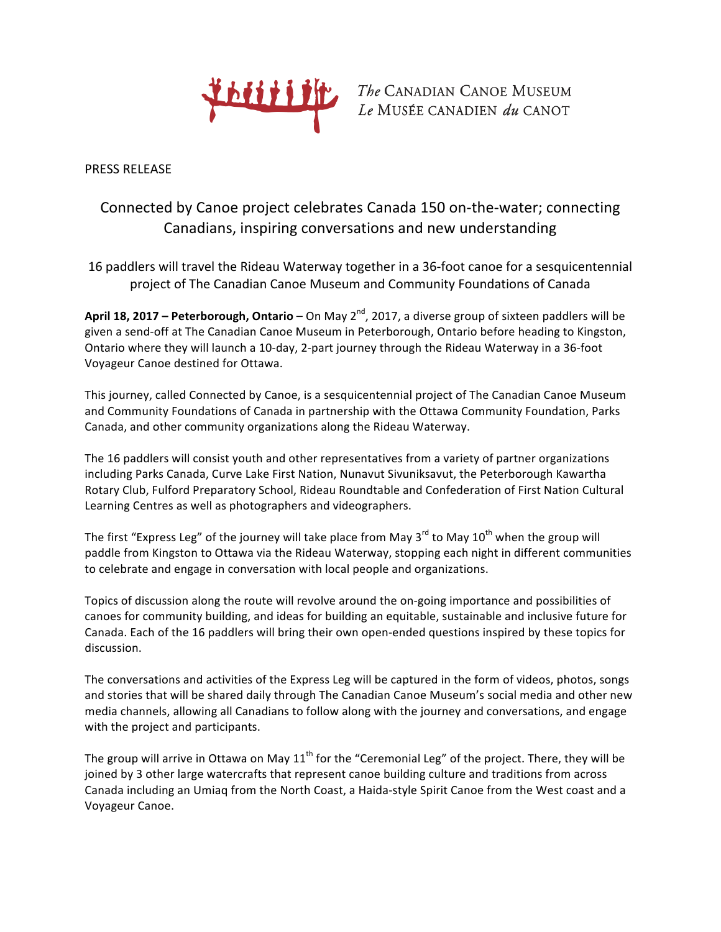

**DELLE The CANADIAN CANOE MUSEUM**  $Le$ MUSÉE CANADIEN $du$ CANOT

PRESS RELEASE

## Connected by Canoe project celebrates Canada 150 on-the-water; connecting Canadians, inspiring conversations and new understanding

16 paddlers will travel the Rideau Waterway together in a 36-foot canoe for a sesquicentennial project of The Canadian Canoe Museum and Community Foundations of Canada

**April 18, 2017** – Peterborough, Ontario – On May 2<sup>nd</sup>, 2017, a diverse group of sixteen paddlers will be given a send-off at The Canadian Canoe Museum in Peterborough, Ontario before heading to Kingston, Ontario where they will launch a 10-day, 2-part journey through the Rideau Waterway in a 36-foot Voyageur Canoe destined for Ottawa.

This journey, called Connected by Canoe, is a sesquicentennial project of The Canadian Canoe Museum and Community Foundations of Canada in partnership with the Ottawa Community Foundation, Parks Canada, and other community organizations along the Rideau Waterway.

The 16 paddlers will consist youth and other representatives from a variety of partner organizations including Parks Canada, Curve Lake First Nation, Nunavut Sivuniksavut, the Peterborough Kawartha Rotary Club, Fulford Preparatory School, Rideau Roundtable and Confederation of First Nation Cultural Learning Centres as well as photographers and videographers.

The first "Express Leg" of the journey will take place from May 3<sup>rd</sup> to May 10<sup>th</sup> when the group will paddle from Kingston to Ottawa via the Rideau Waterway, stopping each night in different communities to celebrate and engage in conversation with local people and organizations.

Topics of discussion along the route will revolve around the on-going importance and possibilities of canoes for community building, and ideas for building an equitable, sustainable and inclusive future for Canada. Each of the 16 paddlers will bring their own open-ended questions inspired by these topics for discussion.

The conversations and activities of the Express Leg will be captured in the form of videos, photos, songs and stories that will be shared daily through The Canadian Canoe Museum's social media and other new media channels, allowing all Canadians to follow along with the journey and conversations, and engage with the project and participants.

The group will arrive in Ottawa on May  $11<sup>th</sup>$  for the "Ceremonial Leg" of the project. There, they will be joined by 3 other large watercrafts that represent canoe building culture and traditions from across Canada including an Umiaq from the North Coast, a Haida-style Spirit Canoe from the West coast and a Voyageur Canoe.